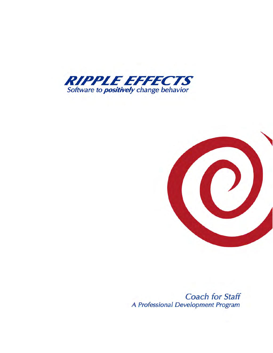



**Coach for Staff** A Professional Development Program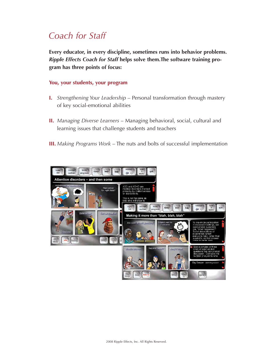# *Coach for Staff*

**Every educator, in every discipline, sometimes runs into behavior problems.**  *Ripple Effects Coach for Staff* **helps solve them.The software training program has three points of focus:**

# **You, your students, your program**

- **I.** *Strengthening Your Leadership* Personal transformation through mastery of key social-emotional abilities
- **II.** *Managing Diverse Learners* Managing behavioral, social, cultural and learning issues that challenge students and teachers
- **III.** *Making Programs Work*  The nuts and bolts of successful implementation

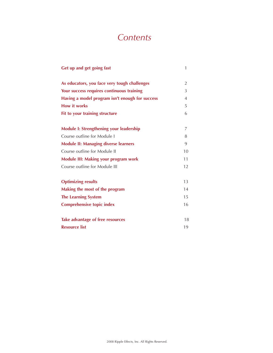# *Contents*

| Get up and get going fast                       | 1              |
|-------------------------------------------------|----------------|
| As educators, you face very tough challenges    | $\overline{2}$ |
| Your success requires continuous training       | 3              |
| Having a model program isn't enough for success | $\overline{4}$ |
| <b>How it works</b>                             | 5              |
| Fit to your training structure                  | 6              |
| <b>Module I: Strengthening your leadership</b>  | 7              |
| Course outline for Module I                     | 8              |
| <b>Module II: Managing diverse learners</b>     | 9              |
| Course outline for Module II                    | 10             |
| <b>Module III: Making your program work</b>     |                |
| Course outline for Module III                   | 12             |
| <b>Optimizing results</b>                       | 13             |
| Making the most of the program                  | 14             |
| <b>The Learning System</b>                      | 15             |
| <b>Comprehensive topic index</b>                | 16             |
| Take advantage of free resources                | 18             |
| <b>Resource list</b>                            | 19             |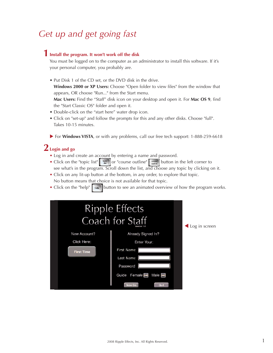# *Get up and get going fast*

# **Install the program. It won't work off the disk 1**

You must be logged on to the computer as an administrator to install this software. If it's your personal computer, you probably are.

• Put Disk 1 of the CD set, or the DVD disk in the drive.

**Windows 2000 or XP Users:** Choose "Open folder to view files" from the window that appears, OR choose "Run..." from the Start menu.

**Mac Users:** Find the "Staff" disk icon on your desktop and open it. For **Mac OS 9**, find the "Start Classic OS" folder and open it.

- Double-click on the "start here" water drop icon.
- Click on "set-up" and follow the prompts for this and any other disks. Choose "full". Takes 10-15 minutes.
- ▶ For **Windows VISTA**, or with any problems, call our free tech support: 1-888-259-6618

# **Login and go 2**

- Log in and create an account by entering a name and password.
- Click on the "topic list" steps or "course outline" summaril button in the left corner to see what's in the program. Scroll down the list, and choose any topic by clicking on it.
- Click on any lit-up button at the bottom, in any order, to explore that topic. No button means that choice is not available for that topic.
- Click on the "help"  $\left[\begin{array}{c} \mathbf{b}_{\text{nep}} \end{array}\right]$  button to see an animated overview of how the program works.

|                   | <b>Ripple Effects</b><br>Coach for Staff<br>Version 1.0                   | Log in screen |
|-------------------|---------------------------------------------------------------------------|---------------|
| New Account?      | Already Signed In?                                                        |               |
| Click Here:       | Enter Your:                                                               |               |
| <b>First Time</b> | First Name<br>Last Name<br>Password                                       |               |
|                   | Female <b>In</b><br>Male $\blacksquare$<br>Guide<br>Quit<br><b>Now Go</b> |               |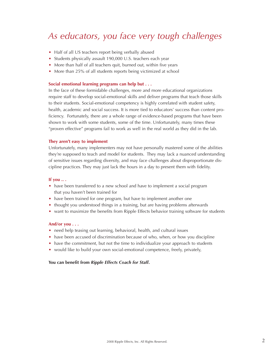# *As educators, you face very tough challenges*

- Half of all US teachers report being verbally abused
- Students physically assault 190,000 U.S. teachers each year
- More than half of all teachers quit, burned out, within five years
- More than 25% of all students reports being victimized at school

#### **Social emotional learning programs can help but . . .**

In the face of these formidable challenges, more and more educational organizations require staff to develop social-emotional skills and deliver programs that teach those skills to their students. Social-emotional competency is highly correlated with student safety, health, academic and social success. It is more tied to educators' success than content proficiency. Fortunately, there are a whole range of evidence-based programs that have been shown to work with some students, some of the time. Unfortunately, many times these "proven effective" programs fail to work as well in the real world as they did in the lab.

#### **They aren't easy to implement**

Unfortunately, many implementers may not have personally mastered some of the abilities they're supposed to teach and model for students. They may lack a nuanced understanding of sensitive issues regarding diversity, and may face challenges about disproportionate discipline practices. They may just lack the hours in a day to present them with fidelity.

#### **If you .. .**

- have been transferred to a new school and have to implement a social program that you haven't been trained for
- have been trained for one program, but have to implement another one
- thought you understood things in a training, but are having problems afterwards
- want to maximize the benefits from Ripple Effects behavior training software for students

#### **And/or you . . .**

- need help teasing out learning, behavioral, health, and cultural issues
- have been accused of discrimination because of who, when, or how you discipline
- have the commitment, but not the time to individualize your approach to students
- would like to build your own social-emotional competence, freely, privately,

#### **You can benefit from** *Ripple Effects Coach for Staff***.**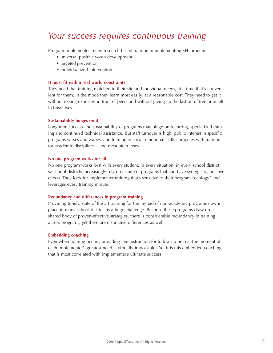# *Your success requires continuous training*

Program implementers need research-based training in implementing SEL programs

- universal positive youth development
- targeted prevention
- individualized intervention

### **It must fit within real world constraints**

They need that training matched to their site and individual needs, at a time that's convenient for them, in the mode they learn most easily, at a reasonable cost. They need to get it without risking exposure in front of peers and without giving up the last bit of free time left in busy lives.

#### **Sustainability hinges on it**

Long term success and sustainability of programs may hinge on recurring, specialized training and continued technical assistance. But staff turnover is high; public interest in specific programs waxes and wanes; and training in social-emotional skills competes with training for academic disciplines – and most often loses.

#### **No one program works for all**

No one program works best with every student, in every situation, in every school district, so school districts increasingly rely on a suite of programs that can have synergistic, positive effects. They look for implementer training that's sensitive to their program "ecology" and leverages every training minute.

#### **Redundancy and differences in program training**

Providing timely, state of the art training for the myriad of non-academic programs now in place in many school districts is a huge challenge. Because these programs draw on a shared body of proven-effective strategies, there is considerable redundancy in training across programs, yet there are distinctive differences as well.

#### **Embedding coaching**

Even when training occurs, providing live instruction for follow up help at the moment of each implementer's greatest need is virtually impossible. Yet it is this embedded coaching that is most correlated with implementer's ultimate success.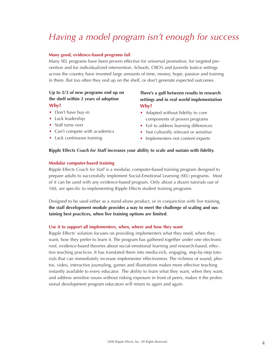# *Having a model program isn't enough for success*

### **Many good, evidence-based programs fail**

Many SEL programs have been proven effective for universal promotion, for targeted prevention and for individualized intervention. Schools, CBO's and Juvenile Justice settings across the country have invested large amounts of time, money, hope, passion and training in them. But too often they end up on the shelf, or don't generate expected outcomes.

## **Up to 2/3 of new programs end up on the shelf within 2 years of adoption Why?**

- Don't have buy-in
- Lack leadership
- Staff turns over
- Can't compete with academics
- Lack continuous training

## **There's a gulf between results in research settings and in real world implementation Why?**

- Adapted without fidelity to core components of proven programs
- Fail to address learning differences
- Not culturally relevant or sensitive
- Implementers not content experts

### **Ripple Effects** *Coach for Staff* **increases your ability to scale and sustain with fidelity.**

## **Modular computer-based training**

Ripple Effects *Coach for Staff* is a modular, computer-based training program designed to prepare adults to successfully implement Social-Emotional Learning (SEL) programs. Most of it can be used with any evidence-based program. Only about a dozen tutorials out of 160, are specific to implementing Ripple Effects student training programs.

Designed to be used either as a stand-alone product, or in conjunction with live training, **the staff development module provides a way to meet the challenge of scaling and sustaining best practices, when live training options are limited**.

### **Use it to support all implementers, when, where and how they want**

Ripple Effects' solution focuses on providing implementers what they need, when they want, how they prefer to learn it. The program has gathered together under one electronic roof, evidence-based theories about social-emotional learning and research-based, effective teaching practices. It has translated them into media-rich, engaging, step-by-step tutorials that can immediately increase implementer effectiveness. The richness of sound, photos, video, interactive journaling, games and illustrations makes more effective teaching instantly available to every educator. The ability to learn what they want, when they want, and address sensitive issues without risking exposure in front of peers, makes it the professional development program educators will return to again and again.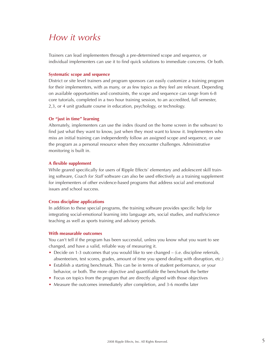# *How it works*

Trainers can lead implementers through a pre-determined scope and sequence, or individual implementers can use it to find quick solutions to immediate concerns. Or both.

#### **Systematic scope and sequence**

District or site level trainers and program sponsors can easily customize a training program for their implementers, with as many, or as few topics as they feel are relevant. Depending on available opportunities and constraints, the scope and sequence can range from 6-8 core tutorials, completed in a two hour training session, to an accredited, full semester, 2,3, or 4 unit graduate course in education, psychology, or technology.

#### **Or "just in time" learning**

Alternately, implementers can use the index (found on the home screen in the software) to find just what they want to know, just when they most want to know it. Implementers who miss an initial training can independently follow an assigned scope and sequence, or use the program as a personal resource when they encounter challenges. Administrative monitoring is built in.

#### **A flexible supplement**

While geared specifically for users of Ripple Effects' elementary and adolescent skill training software, *Coach for Staff* software can also be used effectively as a training supplement for implementers of other evidence-based programs that address social and emotional issues and school success.

#### **Cross discipline applications**

In addition to these special programs, the training software provides specific help for integrating social-emotional learning into language arts, social studies, and math/science teaching as well as sports training and advisory periods.

#### **With measurable outcomes**

You can't tell if the program has been successful, unless you know what you want to see changed, and have a valid, reliable way of measuring it.

- Decide on 1-3 outcomes that you would like to see changed (i.e. discipline referrals, absenteeism, test scores, grades, amount of time you spend dealing with disruption, etc.)
- Establish a starting benchmark. This can be in terms of student performance, or your behavior, or both. The more objective and quantifiable the benchmark the better
- Focus on topics from the program that are directly aligned with those objectives
- Measure the outcomes immediately after completion, and 3-6 months later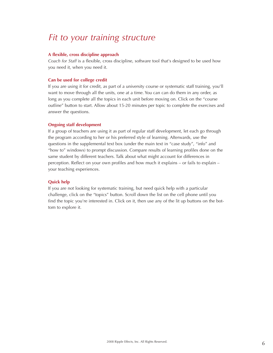# *Fit to your training structure*

#### **A flexible, cross discipline approach**

*Coach for Staff* is a flexible, cross discipline, software tool that's designed to be used how you need it, when you need it.

### **Can be used for college credit**

If you are using it for credit, as part of a university course or systematic staff training, you'll want to move through all the units, one at a time. You can can do them in any order, as long as you complete all the topics in each unit before moving on. Click on the "course outline" button to start. Allow about 15-20 minutes per topic to complete the exercises and answer the questions.

#### **Ongoing staff development**

If a group of teachers are using it as part of regular staff development, let each go through the program according to her or his preferred style of learning. Afterwards, use the questions in the supplemental text box (under the main text in "case study", "info" and "how to" windows) to prompt discussion. Compare results of learning profiles done on the same student by different teachers. Talk about what might account for differences in perception. Reflect on your own profiles and how much it explains – or fails to explain – your teaching experiences.

### **Quick help**

If you are not looking for systematic training, but need quick help with a particular challenge, click on the "topics" button. Scroll down the list on the cell phone until you find the topic you're interested in. Click on it, then use any of the lit up buttons on the bottom to explore it.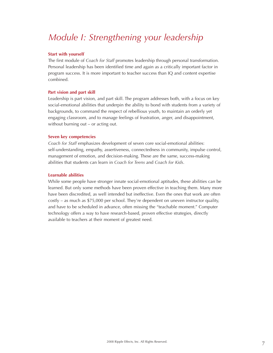# *Module I: Strengthening your leadership*

### **Start with yourself**

The first module of *Coach for Staff* promotes leadership through personal transformation. Personal leadership has been identified time and again as a critically important factor in program success. It is more important to teacher success than IQ and content expertise combined.

## **Part vision and part skill**

Leadership is part vision, and part skill. The program addresses both, with a focus on key social-emotional abilities that underpin the ability to bond with students from a variety of backgrounds, to command the respect of rebellious youth, to maintain an orderly yet engaging classroom, and to manage feelings of frustration, anger, and disappointment, without burning out – or acting out.

### **Seven key competencies**

*Coach for Staff* emphasizes development of seven core social-emotional abilities: self-understanding, empathy, assertiveness, connectedness in community, impulse control, management of emotion, and decision-making. These are the same, success-making abilities that students can learn in *Coach for Teens* and *Coach for Kids*.

## **Learnable abilities**

While some people have stronger innate social-emotional aptitudes, these abilities can be learned. But only some methods have been proven effective in teaching them. Many more have been discredited, as well intended but ineffective. Even the ones that work are often costly – as much as \$75,000 per school. They're dependent on uneven instructor quality, and have to be scheduled in advance, often missing the "teachable moment." Computer technology offers a way to have research-based, proven effective strategies, directly available to teachers at their moment of greatest need.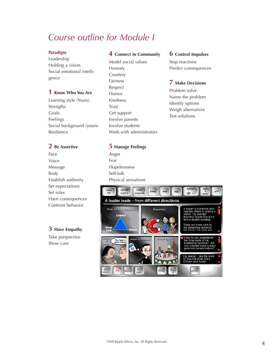# *Course outline for Module I*

## **Paradigm**

Leadership Holding a vision Social emotional intelligence

## **1 Know Who You Are**

Learning style (Yours) Strengths Goals Feelings Social background (yours) Resilience

## **2 Be Assertive**

Face Voice Message Body Establish authority Set expectations Set rules Have consequences Confront behavior

# **3 Have Empathy**

Take perspective Show care

# **4 Connect in Community**

Model social values Honesty **Courtesy** Fairness Respect Humor Kindness Trust Get support Involve parents Involve students Work with administrators

## **6 Control Impulses**

Stop reactions Predict consequences

# **7 Make Decisions**

Problem solve Name the problem Identify options Weigh alternatives Test solutions

# **5 Manage Feelings**

Anger Fear Hopelessness Self-talk Physical sensations

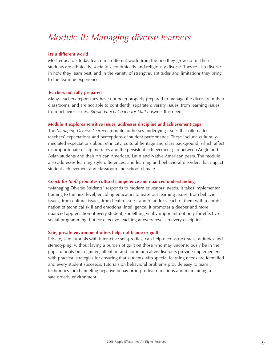# *Module II: Managing diverse learners*

### **It's a different world**

Most educators today teach in a different world from the one they grew up in. Their students are ethnically, socially, economically and religiously diverse. They're also diverse in how they learn best, and in the variety of strengths, aptitudes and limitations they bring to the learning experience.

#### **Teachers not fully prepared**

Many teachers report they have not been properly prepared to manage the diversity in their classrooms, and are not able to confidently separate diversity issues, from learning issues, from behavior issues. *Ripple Effects Coach for Staff* answers this need.

#### **Module II explores sensitive issues, addresses discipline and achievement gaps**

The *Managing Diverse Learners* module addresses underlying issues that often affect teachers' expectations and perceptions of student performance. These include culturallymediated expectations about ethnicity, cultural heritage and class background, which affect disproportionate discipline rates and the persistent achievement gap between Anglo and Asian students and their African American, Latin and Native American peers. The module also addresses learning style differences, and learning and behavioral disorders that impact student achievement and classroom and school climate.

### *Coach for Staff* **promotes cultural competence and nuanced understanding**

"Managing Diverse Students" responds to modern educators' needs. It takes implementer training to the next level, enabling educators to tease out learning issues, from behavior issues, from cultural issues, from health issues, and to address each of them with a combination of technical skill and emotional intelligence. It promotes a deeper and more nuanced appreciation of every student, something vitally important not only for effective social programming, but for effective teaching at every level, in every discipline.

#### **Safe, private environment offers help, not blame or guilt**

Private, safe tutorials with interactive self-profiles, can help deconstruct racist attitudes and stereotyping, without laying a burden of guilt on those who may unconsciously be in their grip. Tutorials on cognitive, attention and communicative disorders provide implementers with practical strategies for ensuring that students with special learning needs are identified and every student succeeds. Tutorials on behavioral problems provide easy to learn techniques for channeling negative behavior in positive directions and maintaining a safe orderly environment.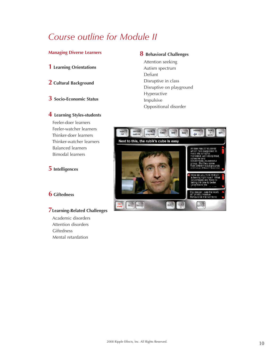# *Course outline for Module II*

## **Managing Diverse Learners**

- **1 Learning Orientations**
- **2 Cultural Background**
- **3 Socio-Economic Status**

# **4 Learning Styles-students**

Feeler-doer learners Feeler-watcher learners Thinker-doer learners Thinker-watcher learners Balanced learners Bimodal learners

# **5 Intelligences**

# **6 Giftedness**

# **7Learning-Related Challenges**

Academic disorders Attention disorders **Giftedness** Mental retardation

## **8 Behavioral Challenges**

Attention seeking Autism spectrum Defiant Disruptive in class Disruptive on playground Hyperactive Impulsive Oppositional disorder

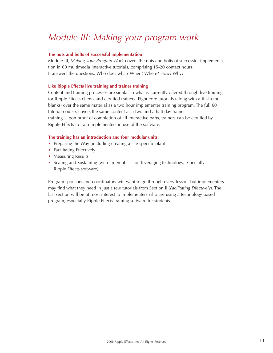# *Module III: Making your program work*

### **The nuts and bolts of successful implementation**

Module III, *Making your Program Work* covers the nuts and bolts of successful implementation in 60 multimedia interactive tutorials, comprising 15-20 contact hours. It answers the questions: Who does what? When? Where? How? Why?

## **Like Ripple Effects live training and trainer training**

Content and training processes are similar to what is currently offered through live training for Ripple Effects clients and certified trainers. Eight core tutorials (along with a fill-in the blanks) over the same material as a two hour implementer training program. The full 60 tutorial course, covers the same content as a two and a half day trainer training. Upon proof of completion of all interactive parts, trainers can be certified by Ripple Effects to train implementers in use of the software.

## **The training has an introduction and four modular units:**

- Preparing the Way (including creating a site-specific plan)
- Facilitating Effectively
- Measuring Results
- Scaling and Sustaining (with an emphasis on leveraging technology, especially Ripple Effects software)

Program sponsors and coordinators will want to go through every lesson, but implementers may find what they need in just a few tutorials from Section II (*Facilitating Effectively*). The last section will be of most interest to implementers who are using a technology-based program, especially Ripple Effects training software for students.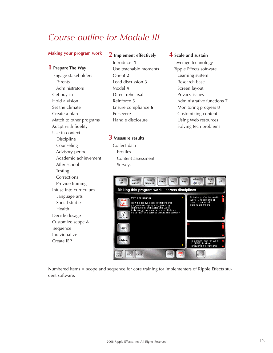# *Course outline for Module III*

### **Making your program work**

### **1 Prepare The Way**

Engage stakeholders Parents Administrators Get buy-in Hold a vision Set the climate Create a plan Match to other programs Adapt with fidelity Use in context Discipline Counseling Advisory period Academic achievement After school Testing Corrections Provide training Infuse into curriculum Language arts Social studies Health Decide dosage Customize scope & sequence Individualize Create IEP

## **2 Implement effectively**

Introduce **1** Use teachable moments Orient **2** Lead discussion **3** Model **4** Direct rehearsal Reinforce **5** Ensure compliance **6** Persevere Handle disclosure

**3 Measure results** Collect data Profiles

Surveys

Content assessment

## **4 Scale and sustain**

Leverage technology Ripple Effects software Learning system Research base Screen layout Privacy issues Administrative functions **7** Monitoring progress **8** Customizing content Using Web resources Solving tech problems



Numbered Items **=** scope and sequence for core training for Implementers of Ripple Effects student software.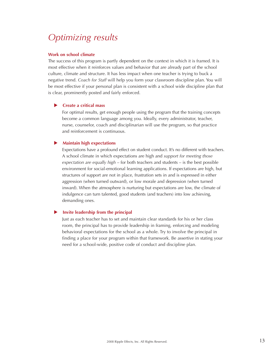# *Optimizing results*

#### **Work on school climate**

The success of this program is partly dependent on the context in which it is framed. It is most effective when it reinforces values and behavior that are already part of the school culture, climate and structure. It has less impact when one teacher is trying to buck a negative trend. *Coach for Staff* will help you form your classroom discipline plan. You will be most effective if your personal plan is consistent with a school wide discipline plan that is clear, prominently posted and fairly enforced.

### **EXECUTE:** Create a critical mass

For optimal results, get enough people using the program that the training concepts become a common language among you. Ideally, every administrator, teacher, nurse, counselor, coach and disciplinarian will use the program, so that practice and reinforcement is continuous.

#### **Maintain high expectations**

Expectations have a profound effect on student conduct. It's no different with teachers. A school climate in which expectations are high and *support for meeting those expectation are equally high* – for both teachers and students – is the best possible environment for social-emotional learning applications. If expectations are high, but structures of support are not in place, frustration sets in and is expressed in either aggression (when turned outward), or low morale and depression (when turned inward). When the atmosphere is nurturing but expectations are low, the climate of indulgence can turn talented, good students (and teachers) into low achieving, demanding ones.

#### u **Invite leadership from the principal**

Just as each teacher has to set and maintain clear standards for his or her class room, the principal has to provide leadership in framing, enforcing and modeling behavioral expectations for the school as a whole. Try to involve the principal in finding a place for your program within that framework. Be assertive in stating your need for a school-wide, positive code of conduct and discipline plan.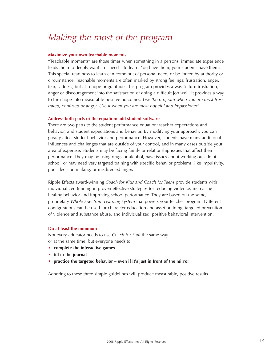# *Making the most of the program*

#### **Maximize your own teachable moments**

"Teachable moments" are those times when something in a persons' immediate experience leads them to deeply want – or need – to learn. You have them; your students have them. This special readiness to learn can come out of personal need, or be forced by authority or circumstance. Teachable moments are often marked by strong feelings: frustration, anger, fear, sadness; but also hope or gratitude. This program provides a way to turn frustration, anger or discouragement into the satisfaction of doing a difficult job well. It provides a way to turn hope into measurable positive outcomes. *Use the program when you are most frustrated, confused or angry*. *Use it when you are most hopeful and impassioned*.

#### **Address both parts of the equation: add student software**

There are two parts to the student performance equation: teacher expectations and behavior, and student expectations and behavior. By modifying your approach, you can greatly affect student behavior and performance. However, students have many additional influences and challenges that are outside of your control, and in many cases outside your area of expertise. Students may be facing family or relationship issues that affect their performance. They may be using drugs or alcohol, have issues about working outside of school, or may need very targeted training with specific behavior problems, like impulsivity, poor decision making, or misdirected anger.

Ripple Effects award-winning *Coach for Kids and Coach for Teens* provide students with individualized training in proven-effective strategies for reducing violence, increasing healthy behavior and improving school performance. They are based on the same, proprietary *Whole Spectrum Learning System* that powers your teacher program. Different configurations can be used for character education and asset building, targeted prevention of violence and substance abuse, and individualized, positive behavioral intervention.

#### **Do at least the minimum**

Not every educator needs to use *Coach for Staff* the same way, or at the same time, but everyone needs to:

- **• complete the interactive games**
- **• fill in the journal**
- **• practice the targeted behavior even if it's just in front of the mirror**

Adhering to these three simple guidelines will produce measurable, positive results.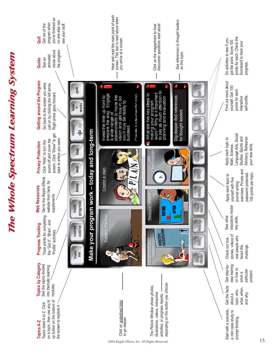

The Whole Spectrum Learning System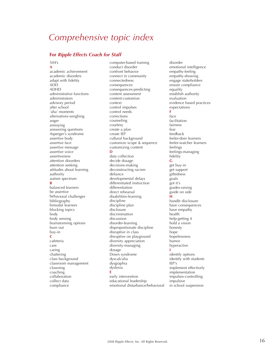# *Comprehensive topic index*

## **For** *Ripple Effects Coach for Staff*

504's

**A** academic achievement academic disorders adapt with fidelity ADD ADHD administrative functions administrators advisory period after school 'aha' moments alternatives-weighing anger annoying answering questions Asperger's syndrome assertive body assertive face assertive message assertive voice assertiveness attention disorders attention seeking attitudes about learning authority autism spectrum **B** balanced learners be assertive behavioral challenges bibliography bimodal learners blocking topics body body sensing brainstorming options burn out buy-in **C** cafeteria care caring chattering class background classroom management clowning coaching collaboration collect data compliance

computer-based training conduct disorder confront behavior connect in community connectedness consequences consequences-predicting content assessment content-customize context control impulses control needs corrections counseling courtesy create a plan create IEP cultural background customize scope & sequence customizing content **D** data collection decide dosage decisions-making deconstructing racism defiance developmental delays differentiated instruction differentiation direct rehearsal disabilities-learning discipline discipline plan disclosure discrimination discussion disorder-learning disproportionate discipline disruptive in class disruptive on playground diversity appreciation diversity-managing dosage Down syndrome dyscalculia dysgraphia dyslexia **E** early intervention educational leadership emotional disturbance/behavioral

disorder emotional intelligence empathy-feeling empathy-showing engage stakeholders ensure compliance equality establish authority evaluation evidence based practices expectations **F** face facilitation fairness fear feedback feeler-doer learners feeler-watcher learners feelings feelings-managing fidelity **G** get buy-in get support giftedness goals got it's grades-raising guide on side **H** handle disclosure have consequences have empathy health help-getting it hold a vision honesty hope hopelessness humor hyperactive **I** identify options identify with students IEP's implement effectively implementation impulses-controlling impulsive in school suspension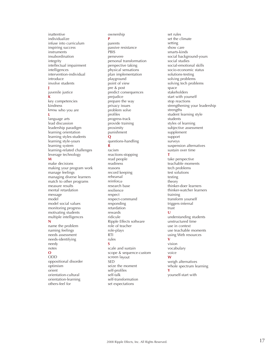inattentive individualize infuse into curriculum inspiring success instruments insubordination integrity intellectual impairment intelligences intervention-individual introduce involve students **J** juvenile justice **K** key competencies kindness know who you are **L** language arts lead discussion leadership paradigm learning orientation learning styles-students learning style-yours learning system learning-related challenges leverage technology **M** make decisions making your program work manage feelings managing diverse learners match to other programs measure results mental retardation message model model social values monitoring progress motivating students multiple intelligences **N** name the problem naming feelings needs assessment needs-identifying needy notes **O** ODD oppositional disorder

optimism orient orientation-cultural orientation-learning others-feel for

#### ownership **P** parents passive resistance PBIS persevere .<br>personal transformation perspective taking physical sensations plan implementation playground point of view pre & post predict consequences prejudice prepare the way privacy issues problem solve profiles progress-track provide training proximity punishment **Q** questions-handling **R** racism reactions-stopping read people readiness reasons record keeping rehearsal reinforce research base resilience respect respect-command responding retardation rewards ridicule Ripple Effects software role of teacher role-plays RTI rules **S** scale and sustain

scope & sequence-custom screen layout SED seize the moment self-profiles self-talk self-transformation set expectations

set rules set the climate setting show care smarts-kinds social background-yours social studies social-emotional skills socio-economic status solutions-testing solving problems solving tech problems space stakeholders start with yourself stop reactions strengthening your leadership strengths student learning style students styles of learning subjective assessment supplement support surveys suspension alternatives sustain over time

## **T**

take perspective teachable moments tech problems test solutions testing theory thinker-doer learners thinker-watcher learners training transform yourself triggers-internal trust

#### **U**

understanding students unstructured time use in context use teachable moments using Web resources **V**

# vision

vocabulary voice **W** weigh alternatives whole spectrum learning **Y**

yourself-start with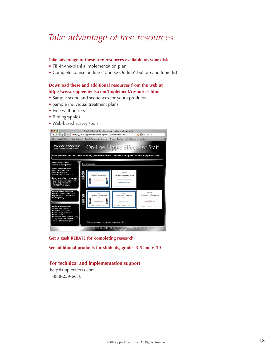# *Take advantage of free resources*

#### **Take advantage of these free resources available on your disk**

- Fill-in-the-blanks implementation plan
- Complete course outline ("Course Outline" button) and topic list

## **Download these and additional resources from the web at http://www.rippleeffects.com/Implement/resources.html**

- Sample scope and sequences for youth products
- Sample individual treatment plans
- Free wall posters
- Bibliographies
- Web-based survey tools



**Get a cash REBATE for completing research**

**See additional products for students, grades 3-5 and 6-10**

### **For technical and implementation support**

help@rippleeffects.com 1-888-259-6618